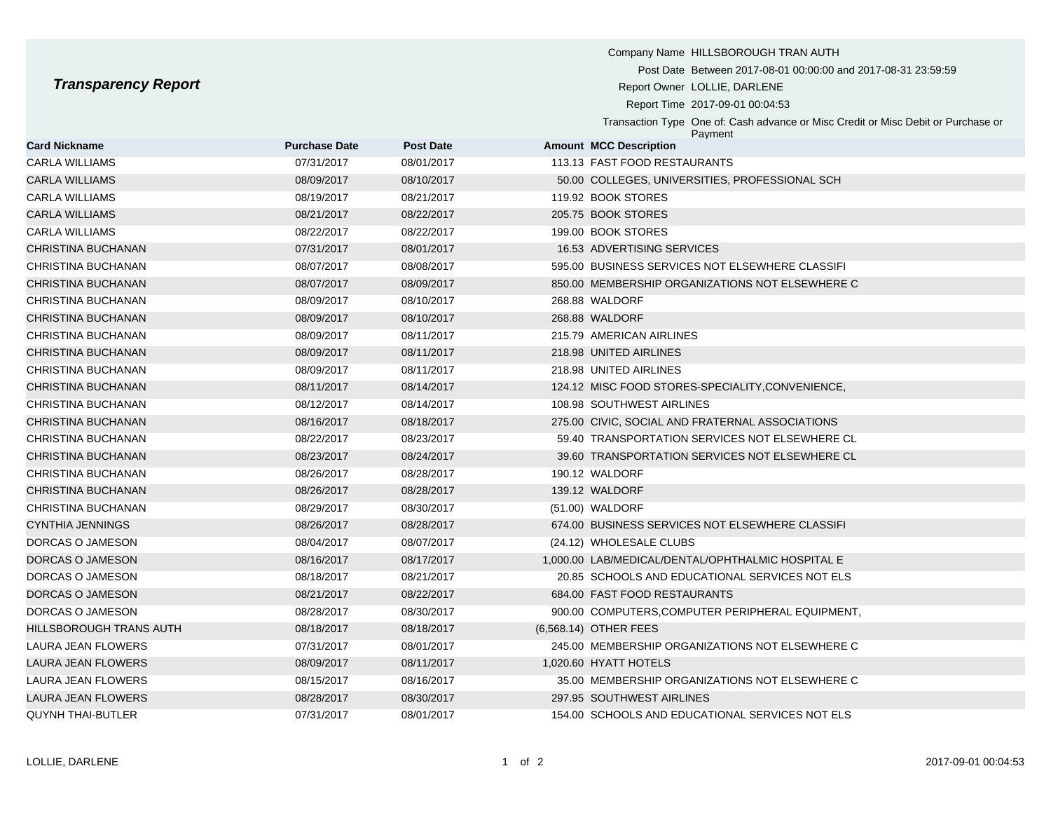Company Name HILLSBOROUGH TRAN AUTH Post Date Between 2017-08-01 00:00:00 and 2017-08-31 23:59:59 **Transparency Report Report Report Report Report Owner LOLLIE, DARLENE** Report Time 2017-09-01 00:04:53 Transaction Type One of: Cash advance or Misc Credit or Misc Debit or Purchase or Payment

| <b>Card Nickname</b>    | <b>Purchase Date</b> | <b>Post Date</b> | <b>Amount MCC Description</b>                     |  |
|-------------------------|----------------------|------------------|---------------------------------------------------|--|
| CARLA WILLIAMS          | 07/31/2017           | 08/01/2017       | 113.13 FAST FOOD RESTAURANTS                      |  |
| CARLA WILLIAMS          | 08/09/2017           | 08/10/2017       | 50.00 COLLEGES, UNIVERSITIES, PROFESSIONAL SCH    |  |
| CARLA WILLIAMS          | 08/19/2017           | 08/21/2017       | 119.92 BOOK STORES                                |  |
| CARLA WILLIAMS          | 08/21/2017           | 08/22/2017       | 205.75 BOOK STORES                                |  |
| <b>CARLA WILLIAMS</b>   | 08/22/2017           | 08/22/2017       | 199.00 BOOK STORES                                |  |
| CHRISTINA BUCHANAN      | 07/31/2017           | 08/01/2017       | 16.53 ADVERTISING SERVICES                        |  |
| CHRISTINA BUCHANAN      | 08/07/2017           | 08/08/2017       | 595.00 BUSINESS SERVICES NOT ELSEWHERE CLASSIFI   |  |
| CHRISTINA BUCHANAN      | 08/07/2017           | 08/09/2017       | 850.00 MEMBERSHIP ORGANIZATIONS NOT ELSEWHERE C   |  |
| CHRISTINA BUCHANAN      | 08/09/2017           | 08/10/2017       | 268.88 WALDORF                                    |  |
| CHRISTINA BUCHANAN      | 08/09/2017           | 08/10/2017       | 268.88 WALDORF                                    |  |
| CHRISTINA BUCHANAN      | 08/09/2017           | 08/11/2017       | 215.79 AMERICAN AIRLINES                          |  |
| CHRISTINA BUCHANAN      | 08/09/2017           | 08/11/2017       | 218.98 UNITED AIRLINES                            |  |
| CHRISTINA BUCHANAN      | 08/09/2017           | 08/11/2017       | 218.98 UNITED AIRLINES                            |  |
| CHRISTINA BUCHANAN      | 08/11/2017           | 08/14/2017       | 124.12 MISC FOOD STORES-SPECIALITY, CONVENIENCE,  |  |
| CHRISTINA BUCHANAN      | 08/12/2017           | 08/14/2017       | 108.98 SOUTHWEST AIRLINES                         |  |
| CHRISTINA BUCHANAN      | 08/16/2017           | 08/18/2017       | 275.00 CIVIC, SOCIAL AND FRATERNAL ASSOCIATIONS   |  |
| CHRISTINA BUCHANAN      | 08/22/2017           | 08/23/2017       | 59.40 TRANSPORTATION SERVICES NOT ELSEWHERE CL    |  |
| CHRISTINA BUCHANAN      | 08/23/2017           | 08/24/2017       | 39.60 TRANSPORTATION SERVICES NOT ELSEWHERE CL    |  |
| CHRISTINA BUCHANAN      | 08/26/2017           | 08/28/2017       | 190.12 WALDORF                                    |  |
| CHRISTINA BUCHANAN      | 08/26/2017           | 08/28/2017       | 139.12 WALDORF                                    |  |
| CHRISTINA BUCHANAN      | 08/29/2017           | 08/30/2017       | (51.00) WALDORF                                   |  |
| CYNTHIA JENNINGS        | 08/26/2017           | 08/28/2017       | 674.00 BUSINESS SERVICES NOT ELSEWHERE CLASSIFI   |  |
| DORCAS O JAMESON        | 08/04/2017           | 08/07/2017       | (24.12) WHOLESALE CLUBS                           |  |
| DORCAS O JAMESON        | 08/16/2017           | 08/17/2017       | 1,000.00 LAB/MEDICAL/DENTAL/OPHTHALMIC HOSPITAL E |  |
| DORCAS O JAMESON        | 08/18/2017           | 08/21/2017       | 20.85 SCHOOLS AND EDUCATIONAL SERVICES NOT ELS    |  |
| DORCAS O JAMESON        | 08/21/2017           | 08/22/2017       | 684.00 FAST FOOD RESTAURANTS                      |  |
| DORCAS O JAMESON        | 08/28/2017           | 08/30/2017       | 900.00 COMPUTERS, COMPUTER PERIPHERAL EQUIPMENT,  |  |
| HILLSBOROUGH TRANS AUTH | 08/18/2017           | 08/18/2017       | (6,568.14) OTHER FEES                             |  |
| LAURA JEAN FLOWERS      | 07/31/2017           | 08/01/2017       | 245.00 MEMBERSHIP ORGANIZATIONS NOT ELSEWHERE C   |  |
| LAURA JEAN FLOWERS      | 08/09/2017           | 08/11/2017       | 1,020.60 HYATT HOTELS                             |  |
| LAURA JEAN FLOWERS      | 08/15/2017           | 08/16/2017       | 35.00 MEMBERSHIP ORGANIZATIONS NOT ELSEWHERE C    |  |
| LAURA JEAN FLOWERS      | 08/28/2017           | 08/30/2017       | 297.95 SOUTHWEST AIRLINES                         |  |
| QUYNH THAI-BUTLER       | 07/31/2017           | 08/01/2017       | 154.00 SCHOOLS AND EDUCATIONAL SERVICES NOT ELS   |  |